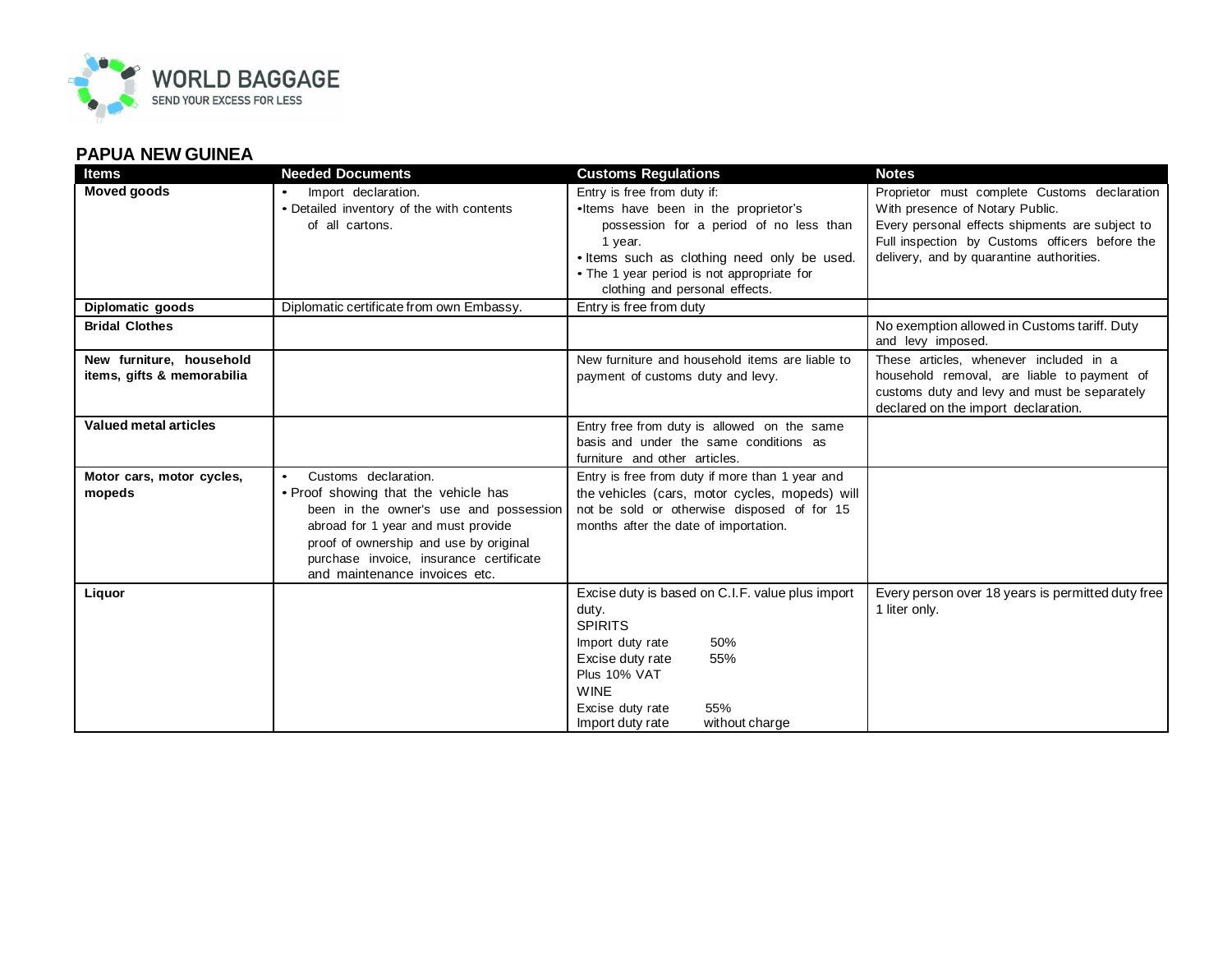

## **PAPUA NEW GUINEA**

| <b>Items</b>                                           | <b>Needed Documents</b>                                                  | <b>Customs Regulations</b>                                                           | <b>Notes</b>                                                                                                                                                                 |
|--------------------------------------------------------|--------------------------------------------------------------------------|--------------------------------------------------------------------------------------|------------------------------------------------------------------------------------------------------------------------------------------------------------------------------|
| <b>Moved goods</b>                                     | Import declaration.                                                      | Entry is free from duty if:                                                          | Proprietor must complete Customs declaration                                                                                                                                 |
|                                                        | • Detailed inventory of the with contents                                | •Items have been in the proprietor's                                                 | With presence of Notary Public.                                                                                                                                              |
|                                                        | of all cartons.                                                          | possession for a period of no less than                                              | Every personal effects shipments are subject to                                                                                                                              |
|                                                        |                                                                          | 1 year.                                                                              | Full inspection by Customs officers before the                                                                                                                               |
|                                                        |                                                                          | . Items such as clothing need only be used.                                          | delivery, and by quarantine authorities.                                                                                                                                     |
|                                                        |                                                                          | • The 1 year period is not appropriate for<br>clothing and personal effects.         |                                                                                                                                                                              |
| Diplomatic goods                                       | Diplomatic certificate from own Embassy.                                 | Entry is free from duty                                                              |                                                                                                                                                                              |
| <b>Bridal Clothes</b>                                  |                                                                          |                                                                                      | No exemption allowed in Customs tariff. Duty<br>and levy imposed.                                                                                                            |
| New furniture, household<br>items, gifts & memorabilia |                                                                          | New furniture and household items are liable to<br>payment of customs duty and levy. | These articles, whenever included in a<br>household removal, are liable to payment of<br>customs duty and levy and must be separately<br>declared on the import declaration. |
| <b>Valued metal articles</b>                           |                                                                          | Entry free from duty is allowed on the same                                          |                                                                                                                                                                              |
|                                                        |                                                                          | basis and under the same conditions as                                               |                                                                                                                                                                              |
|                                                        |                                                                          | furniture and other articles.                                                        |                                                                                                                                                                              |
| Motor cars, motor cycles,                              | Customs declaration.<br>$\bullet$                                        | Entry is free from duty if more than 1 year and                                      |                                                                                                                                                                              |
| mopeds                                                 | • Proof showing that the vehicle has                                     | the vehicles (cars, motor cycles, mopeds) will                                       |                                                                                                                                                                              |
|                                                        | been in the owner's use and possession                                   | not be sold or otherwise disposed of for 15                                          |                                                                                                                                                                              |
|                                                        | abroad for 1 year and must provide                                       | months after the date of importation.                                                |                                                                                                                                                                              |
|                                                        | proof of ownership and use by original                                   |                                                                                      |                                                                                                                                                                              |
|                                                        | purchase invoice, insurance certificate<br>and maintenance invoices etc. |                                                                                      |                                                                                                                                                                              |
| Liquor                                                 |                                                                          | Excise duty is based on C.I.F. value plus import                                     | Every person over 18 years is permitted duty free                                                                                                                            |
|                                                        |                                                                          | duty.                                                                                | 1 liter only.                                                                                                                                                                |
|                                                        |                                                                          | <b>SPIRITS</b>                                                                       |                                                                                                                                                                              |
|                                                        |                                                                          | 50%<br>Import duty rate                                                              |                                                                                                                                                                              |
|                                                        |                                                                          | 55%<br>Excise duty rate                                                              |                                                                                                                                                                              |
|                                                        |                                                                          | Plus 10% VAT                                                                         |                                                                                                                                                                              |
|                                                        |                                                                          | <b>WINE</b>                                                                          |                                                                                                                                                                              |
|                                                        |                                                                          | 55%<br>Excise duty rate                                                              |                                                                                                                                                                              |
|                                                        |                                                                          | without charge<br>Import duty rate                                                   |                                                                                                                                                                              |